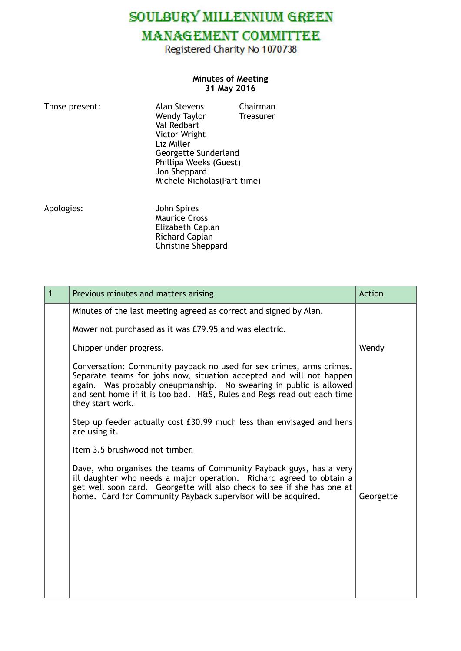SOULBURY MILLENNIUM GREEN

## **MANAGEMENT COMMITTEE**

Registered Charity No 1070738

## **Minutes of Meeting 31 May 2016**

| Those present: | <b>Alan Stevens</b><br>Wendy Taylor<br>Val Redbart<br><b>Victor Wright</b><br>Liz Miller<br>Georgette Sunderland<br>Phillipa Weeks (Guest)<br>Jon Sheppard | Chairman<br><b>Treasurer</b> |
|----------------|------------------------------------------------------------------------------------------------------------------------------------------------------------|------------------------------|
|                |                                                                                                                                                            |                              |
|                | Michele Nicholas (Part time)                                                                                                                               |                              |

Apologies: Apologies: John Spires **Maurice Cross**  Elizabeth Caplan Richard Caplan **Christine Sheppard** 

| $\mathbf{1}$ | Previous minutes and matters arising                                                                                                                                                                                                                                                                            | Action    |
|--------------|-----------------------------------------------------------------------------------------------------------------------------------------------------------------------------------------------------------------------------------------------------------------------------------------------------------------|-----------|
|              | Minutes of the last meeting agreed as correct and signed by Alan.                                                                                                                                                                                                                                               |           |
|              | Mower not purchased as it was £79.95 and was electric.                                                                                                                                                                                                                                                          |           |
|              | Chipper under progress.                                                                                                                                                                                                                                                                                         | Wendy     |
|              | Conversation: Community payback no used for sex crimes, arms crimes.<br>Separate teams for jobs now, situation accepted and will not happen<br>again. Was probably oneupmanship. No swearing in public is allowed<br>and sent home if it is too bad. H&S, Rules and Regs read out each time<br>they start work. |           |
|              | Step up feeder actually cost £30.99 much less than envisaged and hens<br>are using it.                                                                                                                                                                                                                          |           |
|              | Item 3.5 brushwood not timber.                                                                                                                                                                                                                                                                                  |           |
|              | Dave, who organises the teams of Community Payback guys, has a very<br>ill daughter who needs a major operation. Richard agreed to obtain a<br>get well soon card. Georgette will also check to see if she has one at<br>home. Card for Community Payback supervisor will be acquired.                          | Georgette |
|              |                                                                                                                                                                                                                                                                                                                 |           |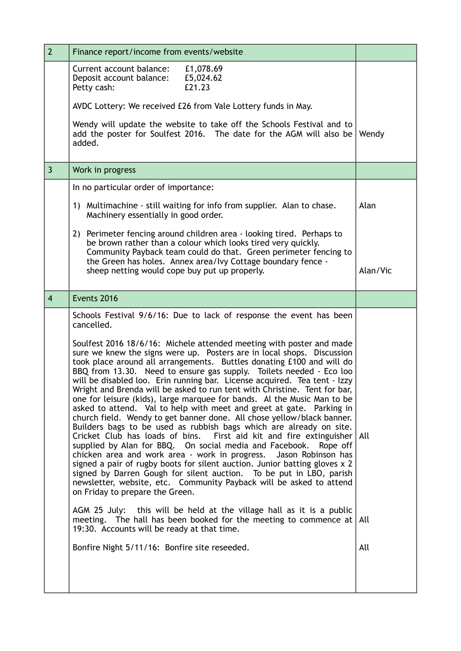| $\overline{2}$ | Finance report/income from events/website                                                                                                                                                                                                                                                                                                                                                                                                                                                                                                                                                                                                                                                                                                                                                                                                                                                                                                                                                                                                                                                                                                                                                                                                                 |          |
|----------------|-----------------------------------------------------------------------------------------------------------------------------------------------------------------------------------------------------------------------------------------------------------------------------------------------------------------------------------------------------------------------------------------------------------------------------------------------------------------------------------------------------------------------------------------------------------------------------------------------------------------------------------------------------------------------------------------------------------------------------------------------------------------------------------------------------------------------------------------------------------------------------------------------------------------------------------------------------------------------------------------------------------------------------------------------------------------------------------------------------------------------------------------------------------------------------------------------------------------------------------------------------------|----------|
|                | Current account balance:<br>£1,078.69<br>Deposit account balance:<br>£5,024.62<br>Petty cash:<br>£21.23                                                                                                                                                                                                                                                                                                                                                                                                                                                                                                                                                                                                                                                                                                                                                                                                                                                                                                                                                                                                                                                                                                                                                   |          |
|                | AVDC Lottery: We received £26 from Vale Lottery funds in May.                                                                                                                                                                                                                                                                                                                                                                                                                                                                                                                                                                                                                                                                                                                                                                                                                                                                                                                                                                                                                                                                                                                                                                                             |          |
|                | Wendy will update the website to take off the Schools Festival and to<br>add the poster for Soulfest 2016. The date for the AGM will also be<br>added.                                                                                                                                                                                                                                                                                                                                                                                                                                                                                                                                                                                                                                                                                                                                                                                                                                                                                                                                                                                                                                                                                                    | Wendy    |
| $\overline{3}$ | Work in progress                                                                                                                                                                                                                                                                                                                                                                                                                                                                                                                                                                                                                                                                                                                                                                                                                                                                                                                                                                                                                                                                                                                                                                                                                                          |          |
|                | In no particular order of importance:                                                                                                                                                                                                                                                                                                                                                                                                                                                                                                                                                                                                                                                                                                                                                                                                                                                                                                                                                                                                                                                                                                                                                                                                                     |          |
|                | 1) Multimachine - still waiting for info from supplier. Alan to chase.<br>Machinery essentially in good order.                                                                                                                                                                                                                                                                                                                                                                                                                                                                                                                                                                                                                                                                                                                                                                                                                                                                                                                                                                                                                                                                                                                                            | Alan     |
|                | 2) Perimeter fencing around children area - looking tired. Perhaps to<br>be brown rather than a colour which looks tired very quickly.<br>Community Payback team could do that. Green perimeter fencing to<br>the Green has holes. Annex area/Ivy Cottage boundary fence -<br>sheep netting would cope buy put up properly.                                                                                                                                                                                                                                                                                                                                                                                                                                                                                                                                                                                                                                                                                                                                                                                                                                                                                                                               | Alan/Vic |
| $\overline{4}$ | Events 2016                                                                                                                                                                                                                                                                                                                                                                                                                                                                                                                                                                                                                                                                                                                                                                                                                                                                                                                                                                                                                                                                                                                                                                                                                                               |          |
|                | Schools Festival 9/6/16: Due to lack of response the event has been<br>cancelled.                                                                                                                                                                                                                                                                                                                                                                                                                                                                                                                                                                                                                                                                                                                                                                                                                                                                                                                                                                                                                                                                                                                                                                         |          |
|                | Soulfest 2016 18/6/16: Michele attended meeting with poster and made<br>sure we knew the signs were up. Posters are in local shops. Discussion<br>took place around all arrangements. Buttles donating £100 and will do<br>BBQ from 13.30. Need to ensure gas supply. Toilets needed - Eco loo<br>will be disabled loo. Erin running bar. License acquired. Tea tent - Izzy<br>Wright and Brenda will be asked to run tent with Christine. Tent for bar,<br>one for leisure (kids), large marquee for bands. Al the Music Man to be<br>asked to attend. Val to help with meet and greet at gate. Parking in<br>church field. Wendy to get banner done. All chose yellow/black banner.<br>Builders bags to be used as rubbish bags which are already on site.<br>Cricket Club has loads of bins. First aid kit and fire extinguisher $\Delta l$<br>supplied by Alan for BBQ. On social media and Facebook.<br>Rope off<br>chicken area and work area - work in progress. Jason Robinson has<br>signed a pair of rugby boots for silent auction. Junior batting gloves x 2<br>signed by Darren Gough for silent auction. To be put in LBO, parish<br>newsletter, website, etc. Community Payback will be asked to attend<br>on Friday to prepare the Green. |          |
|                | AGM 25 July: this will be held at the village hall as it is a public<br>meeting. The hall has been booked for the meeting to commence at<br>19:30. Accounts will be ready at that time.                                                                                                                                                                                                                                                                                                                                                                                                                                                                                                                                                                                                                                                                                                                                                                                                                                                                                                                                                                                                                                                                   | All      |
|                | Bonfire Night 5/11/16: Bonfire site reseeded.                                                                                                                                                                                                                                                                                                                                                                                                                                                                                                                                                                                                                                                                                                                                                                                                                                                                                                                                                                                                                                                                                                                                                                                                             | All      |
|                |                                                                                                                                                                                                                                                                                                                                                                                                                                                                                                                                                                                                                                                                                                                                                                                                                                                                                                                                                                                                                                                                                                                                                                                                                                                           |          |